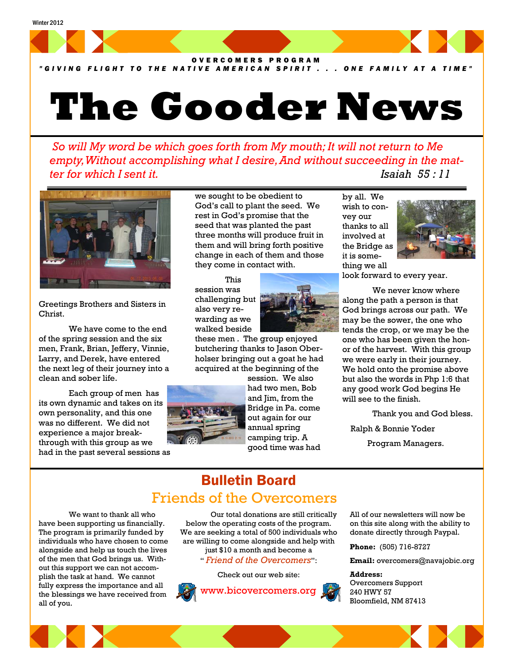

*"GIVING FLIGHT TO THE NATIVE AMERICAN SPIRIT . . . ONE FAMILY AT A TIME"*

# **The Gooder News**

 *So will My word be which goes forth from My mouth; It will not return to Me empty, Without accomplishing what I desire, And without succeeding in the matter for which I sent it. Isaiah 55 : 11* 



Greetings Brothers and Sisters in Christ.

 We have come to the end of the spring session and the six men, Frank, Brian, Jeffery, Vinnie, Larry, and Derek, have entered the next leg of their journey into a clean and sober life.

 Each group of men has its own dynamic and takes on its own personality, and this one was no different. We did not experience a major breakthrough with this group as we had in the past several sessions as we sought to be obedient to God's call to plant the seed. We rest in God's promise that the seed that was planted the past three months will produce fruit in them and will bring forth positive change in each of them and those they come in contact with.

 This session was challenging but also very rewarding as we walked beside



these men . The group enjoyed butchering thanks to Jason Oberholser bringing out a goat he had acquired at the beginning of the



session. We also had two men, Bob and Jim, from the Bridge in Pa. come out again for our annual spring camping trip. A good time was had by all. We wish to convey our thanks to all involved at the Bridge as it is something we all



look forward to every year.

 We never know where along the path a person is that God brings across our path. We may be the sower, the one who tends the crop, or we may be the one who has been given the honor of the harvest. With this group we were early in their journey. We hold onto the promise above but also the words in Php 1:6 that any good work God begins He will see to the finish.

Thank you and God bless.

Ralph & Bonnie Yoder

Program Managers.

## Bulletin Board Friends of the Overcomers

 We want to thank all who have been supporting us financially. The program is primarily funded by individuals who have chosen to come alongside and help us touch the lives of the men that God brings us. Without this support we can not accomplish the task at hand. We cannot fully express the importance and all the blessings we have received from all of you.

 Our total donations are still critically below the operating costs of the program. We are seeking a total of 500 individuals who are willing to come alongside and help with just \$10 a month and become a " *Friend of the Overcomers*":





All of our newsletters will now be on this site along with the ability to donate directly through Paypal.

**Phone:** (505) 716-8727

**Email:** overcomers@navajobic.org

#### **Address:**  Overcomers Support 240 HWY 57 Bloomfield, NM 87413